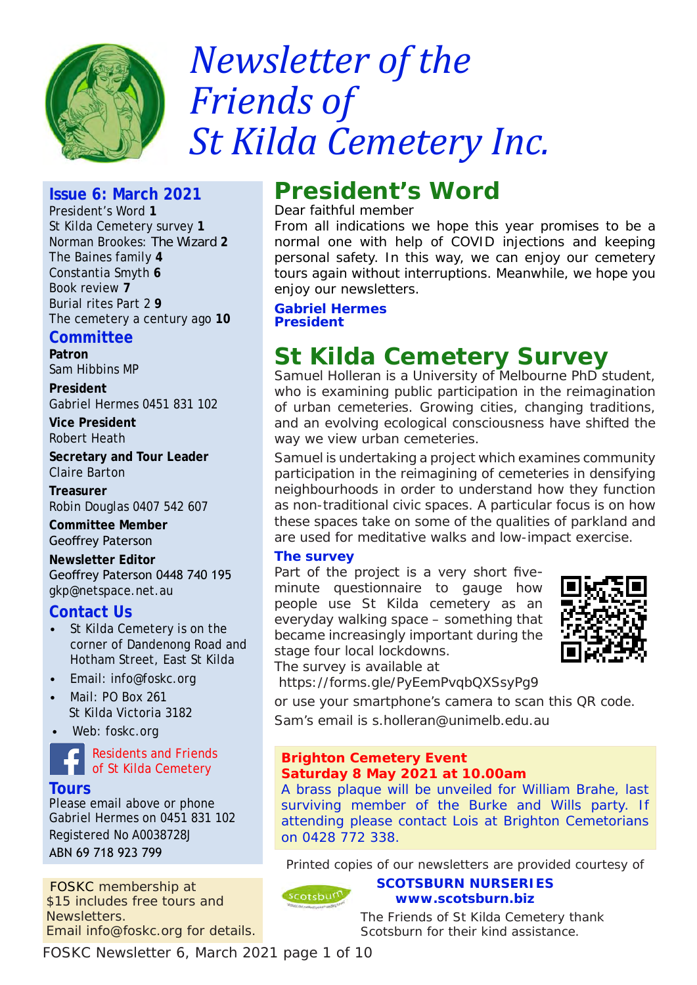

# *Newsletter of the Friends of St Kilda Cemetery Inc.*

# **Issue 6: March 2021**

President's Word **1** St Kilda Cemetery survey **1** Norman Brookes: *The Wizard* **2** The Baines family **4** Constantia Smyth **6** Book review **7** Burial rites Part 2 **9** The cemetery a century ago **10**

## **Committee**

**Patron**  Sam Hibbins MP

**President**

Gabriel Hermes 0451 831 102

**Vice President** Robert Heath

**Secretary and Tour Leader** Claire Barton

**Treasurer**

Robin Douglas 0407 542 607

**Committee Member** Geoffrey Paterson

**Newsletter Editor** Geoffrey Paterson 0448 740 195 gkp@netspace.net.au

# **Contact Us**

- St Kilda Cemetery is on the corner of Dandenong Road and Hotham Street, East St Kilda
- Email: info@foskc.org
- Mail: PO Box 261 St Kilda Victoria 3182
- Web: foskc.org



Residents and Friends of St Kilda Cemetery

**Tours** Please email above or phone Gabriel Hermes on 0451 831 102 Registered No A0038728J

ABN 69 718 923 799

FOSKC membership at \$15 includes free tours and Newsletters. Email info@foskc.org for details. **President's Word**

Dear faithful member

From all indications we hope this year promises to be a normal one with help of COVID injections and keeping personal safety. In this way, we can enjoy our cemetery tours again without interruptions. Meanwhile, we hope you enjoy our newsletters.

*Gabriel Hermes President*

# **St Kilda Cemetery Survey**

Samuel Holleran is a University of Melbourne PhD student, who is examining public participation in the reimagination of urban cemeteries. Growing cities, changing traditions, and an evolving ecological consciousness have shifted the way we view urban cemeteries.

Samuel is undertaking a project which examines community participation in the reimagining of cemeteries in densifying neighbourhoods in order to understand how they function as non-traditional civic spaces. A particular focus is on how these spaces take on some of the qualities of parkland and are used for meditative walks and low-impact exercise.

## **The survey**

Part of the project is a very short fiveminute questionnaire to gauge how people use St Kilda cemetery as an everyday walking space – something that became increasingly important during the stage four local lockdowns. The survey is available at



https://forms.gle/PyEemPvqbQXSsyPg9

or use your smartphone's camera to scan this QR code. Sam's email is s.holleran@unimelb.edu.au

#### **Brighton Cemetery Event Saturday 8 May 2021 at 10.00am**

on 0428 772 338.

cotsburn

A brass plaque will be unveiled for William Brahe, last surviving member of the Burke and Wills party. If attending please contact Lois at Brighton Cemetorians

Printed copies of our newsletters are provided courtesy of

**SCOTSBURN NURSERIES www.scotsburn.biz**

The Friends of St Kilda Cemetery thank Scotsburn for their kind assistance.

FOSKC Newsletter 6, March 2021 page 1 of 10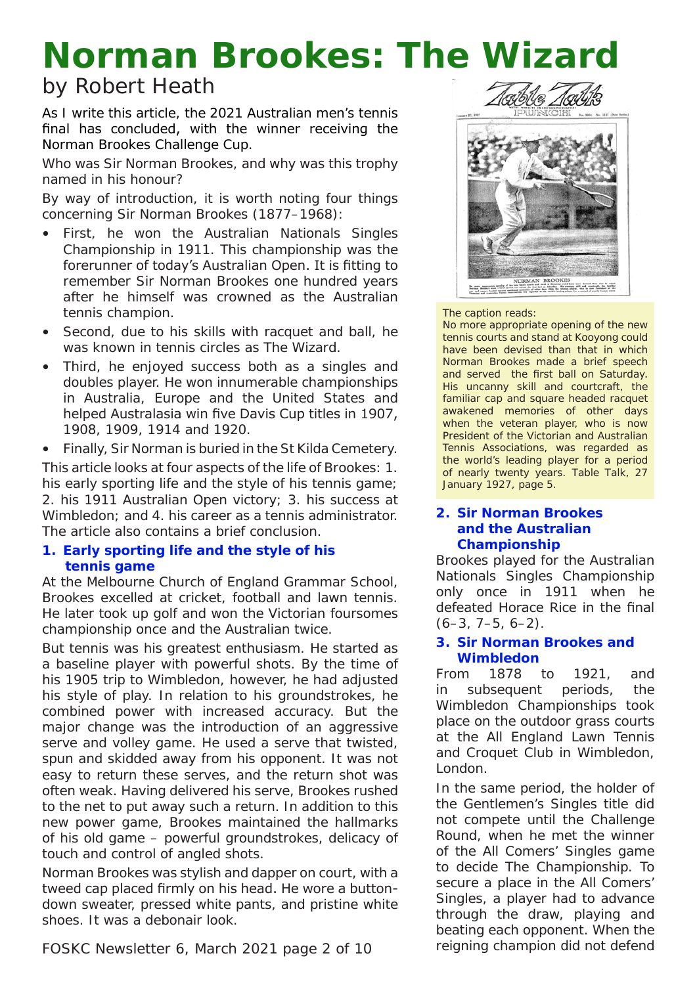# **Norman Brookes:** *The Wizard*

# by Robert Heath

As I write this article, the 2021 Australian men's tennis final has concluded, with the winner receiving the Norman Brookes Challenge Cup.

Who was Sir Norman Brookes, and why was this trophy named in his honour?

By way of introduction, it is worth noting four things concerning Sir Norman Brookes (1877–1968):

- First, he won the Australian Nationals Singles Championship in 1911. This championship was the forerunner of today's Australian Open. It is fitting to remember Sir Norman Brookes one hundred years after he himself was crowned as the Australian tennis champion.
- Second, due to his skills with racquet and ball, he was known in tennis circles as *The Wizard*.
- Third, he enjoyed success both as a singles and doubles player. He won innumerable championships in Australia, Europe and the United States and helped Australasia win five Davis Cup titles in 1907, 1908, 1909, 1914 and 1920.

• Finally, Sir Norman is buried in the St Kilda Cemetery.

This article looks at four aspects of the life of Brookes: 1. his early sporting life and the style of his tennis game; 2. his 1911 Australian Open victory; 3. his success at Wimbledon; and 4. his career as a tennis administrator. The article also contains a brief conclusion.

### **1. Early sporting life and the style of his tennis game**

At the Melbourne Church of England Grammar School, Brookes excelled at cricket, football and lawn tennis. He later took up golf and won the Victorian foursomes championship once and the Australian twice.

But tennis was his greatest enthusiasm. He started as a baseline player with powerful shots. By the time of his 1905 trip to Wimbledon, however, he had adjusted his style of play. In relation to his groundstrokes, he combined power with increased accuracy. But the major change was the introduction of an aggressive serve and volley game. He used a serve that twisted, spun and skidded away from his opponent. It was not easy to return these serves, and the return shot was often weak. Having delivered his serve, Brookes rushed to the net to put away such a return. In addition to this new power game, Brookes maintained the hallmarks of his old game – powerful groundstrokes, delicacy of touch and control of angled shots.

Norman Brookes was stylish and dapper on court, with a tweed cap placed firmly on his head. He wore a buttondown sweater, pressed white pants, and pristine white shoes. It was a debonair look.



#### **2. Sir Norman Brookes and the Australian Championship**

The caption reads:

Brookes played for the Australian Nationals Singles Championship only once in 1911 when he defeated Horace Rice in the final  $(6-3, 7-5, 6-2)$ .

No more appropriate opening of the new tennis courts and stand at Kooyong could have been devised than that in which Norman Brookes made a brief speech and served the first ball on Saturday. His uncanny skill and courtcraft, the familiar cap and square headed racquet

S. (M.P.A.IV – EP. ENCATA cross and these home deviced then their patients of the state of the state of the state of the state of the state of the state of the state of the state of the state of the state of the state of t

### **3. Sir Norman Brookes and Wimbledon**

From 1878 to 1921, and in subsequent periods, the Wimbledon Championships took place on the outdoor grass courts at the All England Lawn Tennis and Croquet Club in Wimbledon, London.

In the same period, the holder of the Gentlemen's Singles title did not compete until the Challenge Round, when he met the winner of the All Comers' Singles game to decide The Championship. To secure a place in the All Comers' Singles, a player had to advance through the draw, playing and beating each opponent. When the reigning champion did not defend

FOSKC Newsletter 6, March 2021 page 2 of 10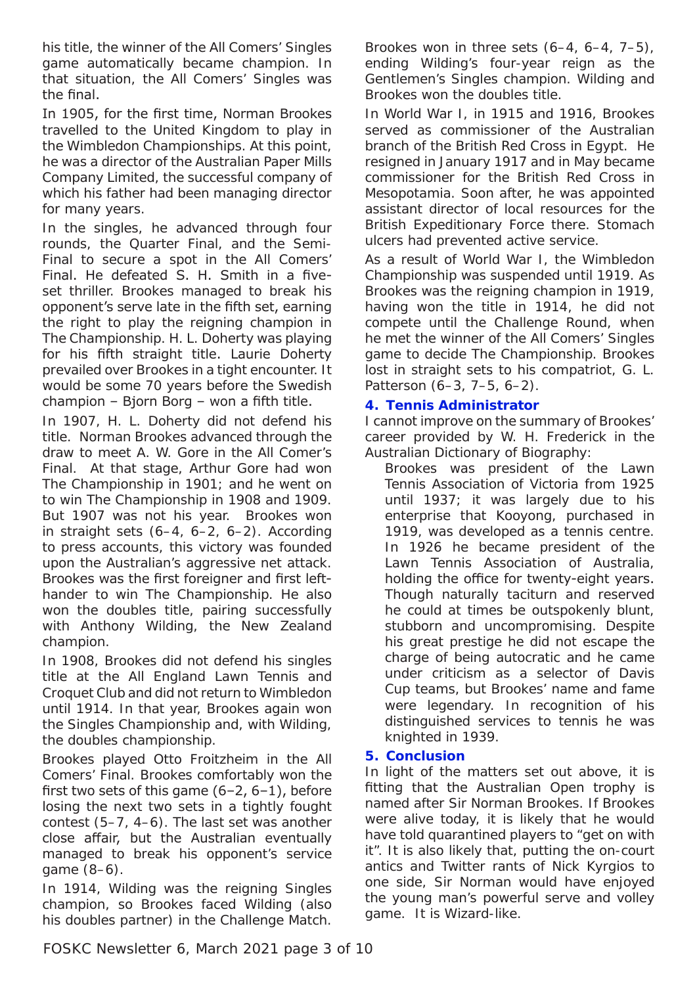his title, the winner of the All Comers' Singles game automatically became champion. In that situation, the All Comers' Singles was the final.

In 1905, for the first time, Norman Brookes travelled to the United Kingdom to play in the Wimbledon Championships. At this point, he was a director of the Australian Paper Mills Company Limited, the successful company of which his father had been managing director for many years.

In the singles, he advanced through four rounds, the Quarter Final, and the Semi-Final to secure a spot in the All Comers' Final. He defeated S. H. Smith in a fiveset thriller. Brookes managed to break his opponent's serve late in the fifth set, earning the right to play the reigning champion in The Championship. H. L. Doherty was playing for his fifth straight title. Laurie Doherty prevailed over Brookes in a tight encounter. It would be some 70 years before the Swedish champion – Bjorn Borg – won a fifth title.

In 1907, H. L. Doherty did not defend his title. Norman Brookes advanced through the draw to meet A. W. Gore in the All Comer's Final. At that stage, Arthur Gore had won The Championship in 1901; and he went on to win The Championship in 1908 and 1909. But 1907 was not his year. Brookes won in straight sets (6–4, 6–2, 6–2). According to press accounts, this victory was founded upon the Australian's aggressive net attack. Brookes was the first foreigner and first lefthander to win The Championship. He also won the doubles title, pairing successfully with Anthony Wilding, the New Zealand champion.

In 1908, Brookes did not defend his singles title at the All England Lawn Tennis and Croquet Club and did not return to Wimbledon until 1914. In that year, Brookes again won the Singles Championship and, with Wilding, the doubles championship.

Brookes played Otto Froitzheim in the All Comers' Final. Brookes comfortably won the first two sets of this game (6–2, 6–1), before losing the next two sets in a tightly fought contest (5–7, 4–6). The last set was another close affair, but the Australian eventually managed to break his opponent's service game (8–6).

In 1914, Wilding was the reigning Singles champion, so Brookes faced Wilding (also his doubles partner) in the Challenge Match.

Brookes won in three sets (6–4, 6–4, 7–5), ending Wilding's four-year reign as the Gentlemen's Singles champion. Wilding and Brookes won the doubles title.

In World War I, in 1915 and 1916, Brookes served as commissioner of the Australian branch of the British Red Cross in Egypt. He resigned in January 1917 and in May became commissioner for the British Red Cross in Mesopotamia. Soon after, he was appointed assistant director of local resources for the British Expeditionary Force there. Stomach ulcers had prevented active service.

As a result of World War I, the Wimbledon Championship was suspended until 1919. As Brookes was the reigning champion in 1919, having won the title in 1914, he did not compete until the Challenge Round, when he met the winner of the All Comers' Singles game to decide The Championship. Brookes lost in straight sets to his compatriot, G. L. Patterson (6–3, 7–5, 6–2).

## **4. Tennis Administrator**

I cannot improve on the summary of Brookes' career provided by W. H. Frederick in the A*ustralian Dictionary of Biography*:

Brookes was president of the Lawn Tennis Association of Victoria from 1925 until 1937; it was largely due to his enterprise that Kooyong, purchased in 1919, was developed as a tennis centre. In 1926 he became president of the Lawn Tennis Association of Australia, holding the office for twenty-eight years. Though naturally taciturn and reserved he could at times be outspokenly blunt, stubborn and uncompromising. Despite his great prestige he did not escape the charge of being autocratic and he came under criticism as a selector of Davis Cup teams, but Brookes' name and fame were legendary. In recognition of his distinguished services to tennis he was knighted in 1939.

## **5. Conclusion**

In light of the matters set out above, it is fitting that the Australian Open trophy is named after Sir Norman Brookes. If Brookes were alive today, it is likely that he would have told quarantined players to "get on with it". It is also likely that, putting the on-court antics and Twitter rants of Nick Kyrgios to one side, Sir Norman would have enjoyed the young man's powerful serve and volley game. It is *Wizard*-like.

FOSKC Newsletter 6, March 2021 page 3 of 10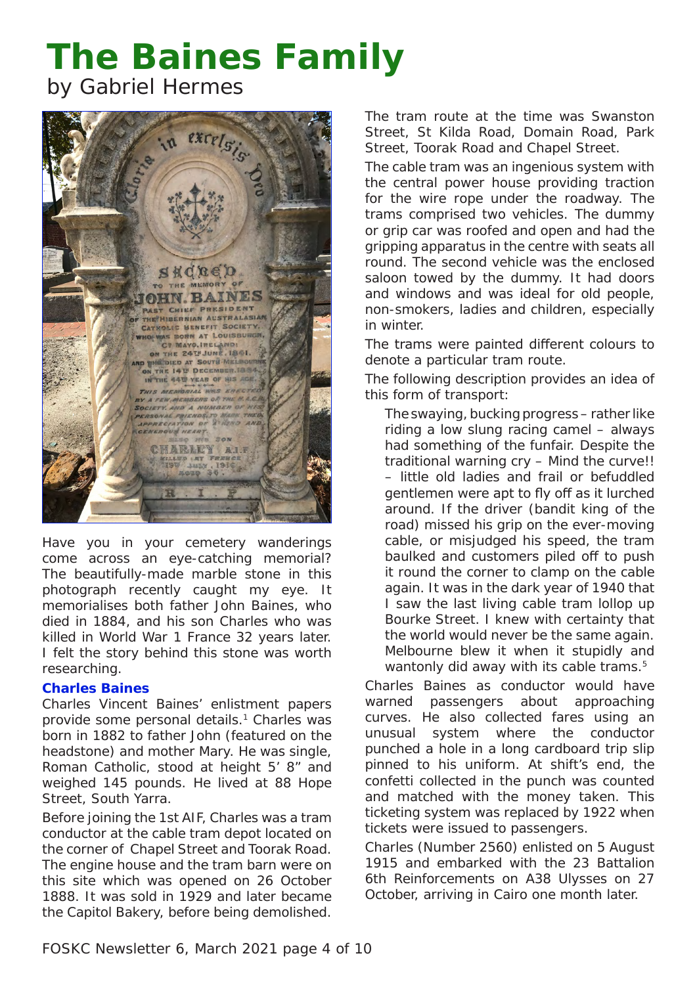# **The Baines Family**

by Gabriel Hermes



Have you in your cemetery wanderings come across an eye-catching memorial? The beautifully-made marble stone in this photograph recently caught my eye. It memorialises both father John Baines, who died in 1884, and his son Charles who was killed in World War 1 France 32 years later. I felt the story behind this stone was worth researching.

## **Charles Baines**

Charles Vincent Baines' enlistment papers provide some personal details.<sup>1</sup> Charles was born in 1882 to father John (featured on the headstone) and mother Mary. He was single, Roman Catholic, stood at height 5' 8" and weighed 145 pounds. He lived at 88 Hope Street, South Yarra.

Before joining the 1st AIF, Charles was a tram conductor at the cable tram depot located on the corner of Chapel Street and Toorak Road. The engine house and the tram barn were on this site which was opened on 26 October 1888. It was sold in 1929 and later became the Capitol Bakery, before being demolished.

The tram route at the time was Swanston Street, St Kilda Road, Domain Road, Park Street, Toorak Road and Chapel Street.

The cable tram was an ingenious system with the central power house providing traction for the wire rope under the roadway. The trams comprised two vehicles. The *dummy* or *grip* car was roofed and open and had the gripping apparatus in the centre with seats all round. The second vehicle was the enclosed *saloon* towed by the dummy. It had doors and windows and was ideal for old people, non-smokers, ladies and children, especially in winter.

The trams were painted different colours to denote a particular tram route.

The following description provides an idea of this form of transport:

The swaying, bucking progress – rather like riding a low slung racing camel – always had something of the funfair. Despite the traditional warning cry – Mind the curve!! – little old ladies and frail or befuddled gentlemen were apt to fly off as it lurched around. If the driver (bandit king of the road) missed his grip on the ever-moving cable, or misjudged his speed, the tram baulked and customers piled off to push it round the corner to clamp on the cable again. It was in the dark year of 1940 that I saw the last living cable tram lollop up Bourke Street. I knew with certainty that the world would never be the same again. Melbourne blew it when it stupidly and wantonly did away with its cable trams.<sup>5</sup>

Charles Baines as conductor would have warned passengers about approaching curves. He also collected fares using an unusual system where the conductor punched a hole in a long cardboard trip slip pinned to his uniform. At shift's end, the *confetti* collected in the punch was counted and matched with the money taken. This ticketing system was replaced by 1922 when tickets were issued to passengers.

Charles (Number 2560) enlisted on 5 August 1915 and embarked with the 23 Battalion 6th Reinforcements on A38 *Ulysses* on 27 October, arriving in Cairo one month later.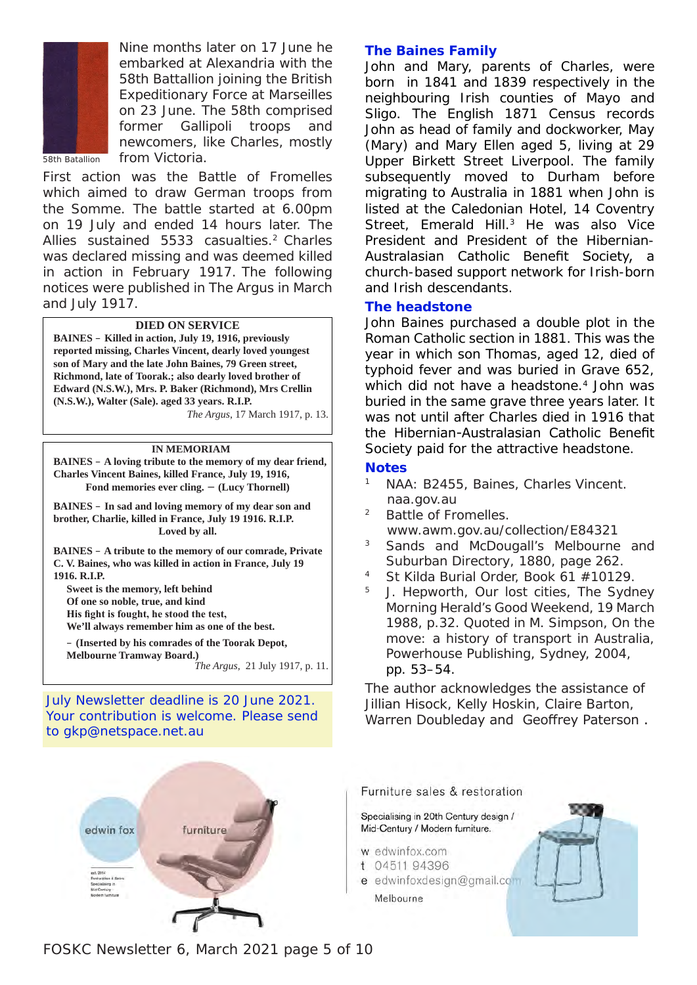

Nine months later on 17 June he embarked at Alexandria with the 58th Battallion joining the British Expeditionary Force at Marseilles on 23 June. The 58th comprised former Gallipoli troops and newcomers, like Charles, mostly from Victoria.

58th Batallion

First action was the Battle of Fromelles which aimed to draw German troops from the Somme. The battle started at 6.00pm on 19 July and ended 14 hours later. The Allies sustained 5533 casualties.2 Charles was declared missing and was deemed killed in action in February 1917. The following notices were published in *The Argus* in March and July 1917.

#### **DIED ON SERVICE**

**BAINES** – **Killed in action, July 19, 1916, previously reported missing, Charles Vincent, dearly loved youngest son of Mary and the late John Baines, 79 Green street, Richmond, late of Toorak.; also dearly loved brother of Edward (N.S.W.), Mrs. P. Baker (Richmond), Mrs Crellin (N.S.W.), Walter (Sale). aged 33 years. R.I.P.** *The Argus*, 17 March 1917, p. 13.

#### **IN MEMORIAM**

**BAINES** – **A loving tribute to the memory of my dear friend, Charles Vincent Baines, killed France, July 19, 1916, Fond memories ever cling.** − **(Lucy Thornell)**

**BAINES** – **In sad and loving memory of my dear son and brother, Charlie, killed in France, July 19 1916. R.I.P. Loved by all.**

**BAINES** – **A tribute to the memory of our comrade, Private C. V. Baines, who was killed in action in France, July 19 1916. R.I.P.**

**Sweet is the memory, left behind Of one so noble, true, and kind His fight is fought, he stood the test, We'll always remember him as one of the best.**

– **(Inserted by his comrades of the Toorak Depot, Melbourne Tramway Board.)** *The Argus*, 21 July 1917, p. 11.

July Newsletter deadline is 20 June 2021. Your contribution is welcome. Please send to gkp@netspace.net.au



#### **The Baines Family**

John and Mary, parents of Charles, were born in 1841 and 1839 respectively in the neighbouring Irish counties of Mayo and Sligo. The English 1871 Census records John as head of family and dockworker, May (Mary) and Mary Ellen aged 5, living at 29 Upper Birkett Street Liverpool. The family subsequently moved to Durham before migrating to Australia in 1881 when John is listed at the Caledonian Hotel, 14 Coventry Street, Emerald Hill.<sup>3</sup> He was also Vice President and President of the Hibernian-Australasian Catholic Benefit Society, a church-based support network for Irish-born and Irish descendants.

#### **The headstone**

John Baines purchased a double plot in the Roman Catholic section in 1881. This was the year in which son Thomas, aged 12, died of typhoid fever and was buried in Grave 652, which did not have a headstone.<sup>4</sup> John was buried in the same grave three years later. It was not until after Charles died in 1916 that the Hibernian-Australasian Catholic Benefit Society paid for the attractive headstone.

#### **Notes**

- NAA: B2455, Baines, Charles Vincent. naa.gov.au
- <sup>2</sup> Battle of Fromelles. www.awm.gov.au/collection/E84321
- <sup>3</sup> *Sands and McDougall's Melbourne and Suburban Directory*, 1880, page 262.
- <sup>4</sup> St Kilda Burial Order, Book 61 #10129.
- <sup>5</sup> J. Hepworth, Our lost cities, *The Sydney Morning Herald's Good Weekend*, 19 March 1988, p.32. Quoted in M. Simpson, *On the move: a history of transport in Australia*, Powerhouse Publishing, Sydney, 2004, pp. 53–54.

The author acknowledges the assistance of Jillian Hisock, Kelly Hoskin, Claire Barton, Warren Doubleday and Geoffrey Paterson .

Furniture sales & restoration

Specialising in 20th Century design / Mid-Century / Modern furniture.

- w edwinfox.com
- t 04511 94396
- e edwinfoxdesign@gmail.com Melbourne



FOSKC Newsletter 6, March 2021 page 5 of 10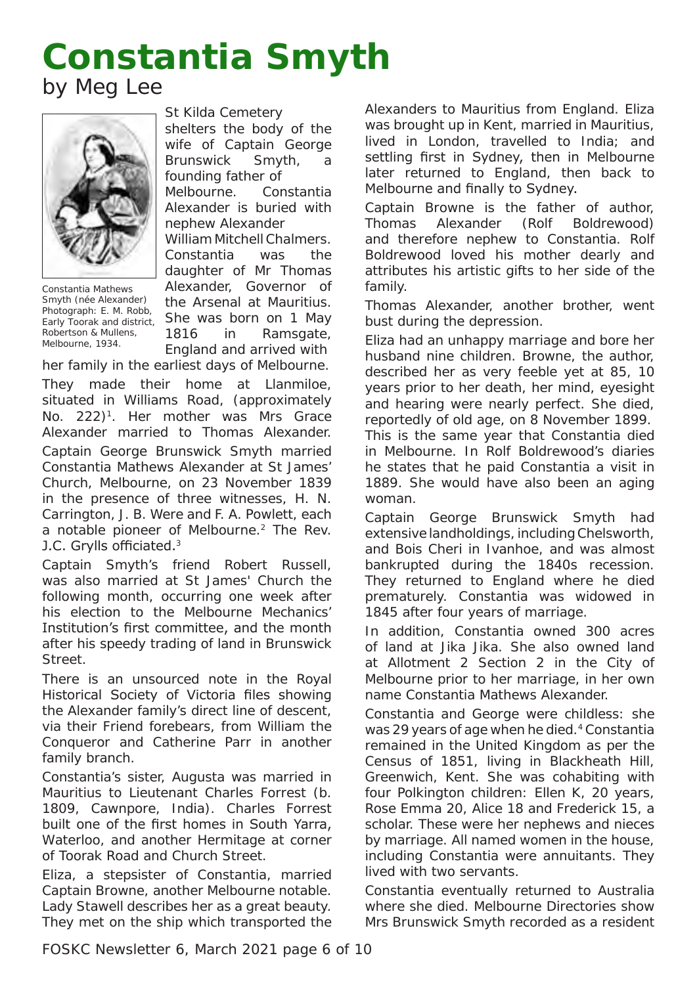# **Constantia Smyth** by Meg Lee



Constantia Mathews Smyth (née Alexander) Photograph: E. M. Robb, *Early Toorak and district*, Robertson & Mullens, Melbourne, 1934.

St Kilda Cemetery

shelters the body of the wife of Captain George Brunswick Smyth, a founding father of

Melbourne. Constantia Alexander is buried with nephew Alexander

William Mitchell Chalmers. Constantia was the daughter of Mr Thomas Alexander, Governor of

the Arsenal at Mauritius. She was born on 1 May 1816 in Ramsgate, England and arrived with

her family in the earliest days of Melbourne. They made their home at *Llanmiloe*, situated in Williams Road, (approximately No. 222)<sup>1</sup>. Her mother was Mrs Grace Alexander married to Thomas Alexander. Captain George Brunswick Smyth married Constantia Mathews Alexander at St James' Church, Melbourne, on 23 November 1839 in the presence of three witnesses, H. N. Carrington, J. B. Were and F. A. Powlett, each a notable pioneer of Melbourne.2 The Rev. J.C. Grylls officiated.<sup>3</sup>

Captain Smyth's friend Robert Russell, was also married at St James' Church the following month, occurring one week after his election to the Melbourne Mechanics' Institution's first committee, and the month after his speedy trading of land in Brunswick Street.

There is an unsourced note in the Royal Historical Society of Victoria files showing the Alexander family's direct line of descent, via their Friend forebears, from William the Conqueror and Catherine Parr in another family branch.

Constantia's sister, Augusta was married in Mauritius to Lieutenant Charles Forrest (b. 1809, Cawnpore, India). Charles Forrest built one of the first homes in South Yarra, *Waterloo*, and another *Hermitage* at corner of Toorak Road and Church Street.

Eliza, a stepsister of Constantia, married Captain Browne, another Melbourne notable. Lady Stawell describes her as a great beauty. They met on the ship which transported the

Alexanders to Mauritius from England. Eliza was brought up in Kent, married in Mauritius, lived in London, travelled to India; and settling first in Sydney, then in Melbourne later returned to England, then back to Melbourne and finally to Sydney.

Captain Browne is the father of author, Thomas Alexander (Rolf Boldrewood) and therefore nephew to Constantia. Rolf Boldrewood loved his mother dearly and attributes his artistic gifts to her side of the family.

Thomas Alexander, another brother, went bust during the depression.

Eliza had an unhappy marriage and bore her husband nine children. Browne, the author, described her as very feeble yet at 85, 10 years prior to her death, her mind, eyesight and hearing were nearly perfect. She died, reportedly of old age, on 8 November 1899.

This is the same year that Constantia died in Melbourne. In Rolf Boldrewood's diaries he states that he paid Constantia a visit in 1889. She would have also been an aging woman.

Captain George Brunswick Smyth had extensive landholdings, including *Chelsworth*, and *Bois Cheri* in Ivanhoe, and was almost bankrupted during the 1840s recession. They returned to England where he died prematurely. Constantia was widowed in 1845 after four years of marriage.

In addition, Constantia owned 300 acres of land at Jika Jika. She also owned land at Allotment 2 Section 2 in the City of Melbourne prior to her marriage, in her own name Constantia Mathews Alexander.

Constantia and George were childless: she was 29 years of age when he died.<sup>4</sup> Constantia remained in the United Kingdom as per the Census of 1851, living in Blackheath Hill, Greenwich, Kent. She was cohabiting with four Polkington children: Ellen K, 20 years, Rose Emma 20, Alice 18 and Frederick 15, a scholar. These were her nephews and nieces by marriage. All named women in the house, including Constantia were annuitants. They lived with two servants.

Constantia eventually returned to Australia where she died. Melbourne Directories show Mrs Brunswick Smyth recorded as a resident

FOSKC Newsletter 6, March 2021 page 6 of 10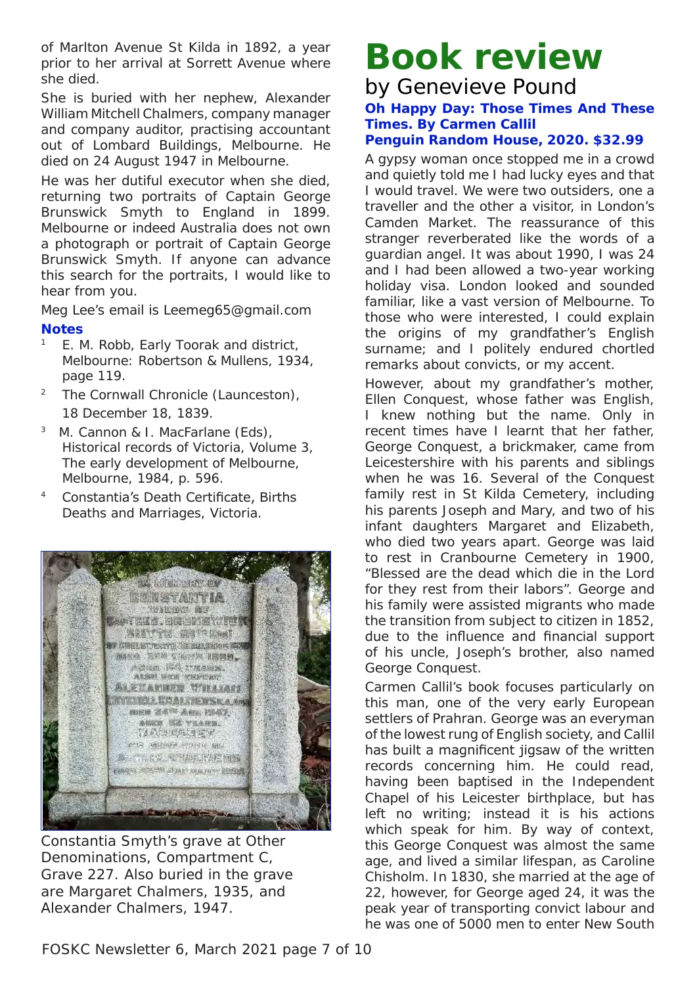of Marlton Avenue St Kilda in 1892, a year prior to her arrival at Sorrett Avenue where she died.

She is buried with her nephew, Alexander William Mitchell Chalmers, company manager and company auditor, practising accountant out of Lombard Buildings, Melbourne. He died on 24 August 1947 in Melbourne.

He was her dutiful executor when she died, returning two portraits of Captain George Brunswick Smyth to England in 1899. Melbourne or indeed Australia does not own a photograph or portrait of Captain George Brunswick Smyth. If anyone can advance this search for the portraits, I would like to hear from you.

Meg Lee's email is Leemeg65@gmail.com

### **Notes**

- <sup>1</sup> E. M. Robb, *Early Toorak and district*, Melbourne: Robertson & Mullens, 1934, page 119.
- <sup>2</sup> *The Cornwall Chronicle* (Launceston), 18 December 18, 1839.
- 3 M. Cannon & I. MacFarlane (Eds), *Historical records of Victoria*, Volume 3, *The early development of Melbourne*, Melbourne, 1984, p. 596.
- <sup>4</sup> Constantia's Death Certificate, Births Deaths and Marriages, Victoria.



Constantia Smyth's grave at Other Denominations, Compartment C, Grave 227. Also buried in the grave are Margaret Chalmers, 1935, and Alexander Chalmers, 1947.

# **Book review**

# by Genevieve Pound *Oh Happy Day: Those Times And These Times.* **By Carmen Callil**

# **Penguin Random House, 2020. \$32.99**

A gypsy woman once stopped me in a crowd and quietly told me I had lucky eyes and that I would travel. We were two outsiders, one a traveller and the other a visitor, in London's Camden Market. The reassurance of this stranger reverberated like the words of a guardian angel. It was about 1990, I was 24 and I had been allowed a two-year working holiday visa. London looked and sounded familiar, like a vast version of Melbourne. To those who were interested, I could explain the origins of my grandfather's English surname; and I politely endured chortled remarks about convicts, or my accent.

However, about my grandfather's mother, Ellen Conquest, whose father was English, I knew nothing but the name. Only in recent times have I learnt that her father, George Conquest, a brickmaker, came from Leicestershire with his parents and siblings when he was 16. Several of the Conquest family rest in St Kilda Cemetery, including his parents Joseph and Mary, and two of his infant daughters Margaret and Elizabeth, who died two years apart. George was laid to rest in Cranbourne Cemetery in 1900, "Blessed are the dead which die in the Lord for they rest from their labors". George and his family were *assisted* migrants who made the transition from subject to citizen in 1852, due to the influence and financial support of his uncle, Joseph's brother, also named George Conquest.

Carmen Callil's book focuses particularly on this man, one of the very early European settlers of Prahran. George was an everyman of the lowest rung of English society, and Callil has built a magnificent jigsaw of the written records concerning him. He could read, having been baptised in the Independent Chapel of his Leicester birthplace, but has left no writing; instead it is his actions which speak for him. By way of context, this George Conquest was almost the same age, and lived a similar lifespan, as Caroline Chisholm. In 1830, she married at the age of 22, however, for George aged 24, it was the peak year of transporting convict labour and he was one of 5000 men to enter New South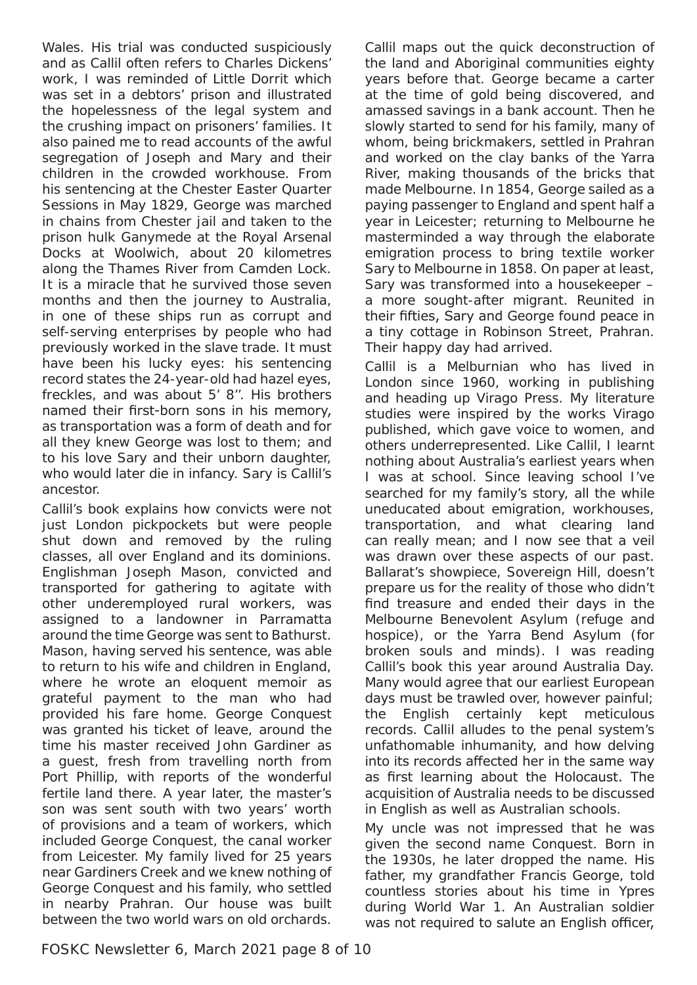Wales. His trial was conducted suspiciously and as Callil often refers to Charles Dickens' work, I was reminded of *Little Dorrit* which was set in a debtors' prison and illustrated the hopelessness of the legal system and the crushing impact on prisoners' families. It also pained me to read accounts of the awful segregation of Joseph and Mary and their children in the crowded workhouse. From his sentencing at the Chester Easter Quarter Sessions in May 1829, George was marched in chains from Chester jail and taken to the prison hulk *Ganymede* at the Royal Arsenal Docks at Woolwich, about 20 kilometres along the Thames River from Camden Lock. It is a miracle that he survived those seven months and then the journey to Australia, in one of these ships run as corrupt and self-serving enterprises by people who had previously worked in the slave trade. It must have been his lucky eyes: his sentencing record states the 24-year-old had hazel eyes, freckles, and was about 5' 8''. His brothers named their first-born sons in his memory, as transportation was a form of death and for all they knew George was lost to them; and to his love Sary and their unborn daughter, who would later die in infancy. Sary is Callil's ancestor.

Callil's book explains how convicts were not just London pickpockets but were people shut down and removed by the ruling classes, all over England and its dominions. Englishman Joseph Mason, convicted and transported for gathering to agitate with other underemployed rural workers, was assigned to a landowner in Parramatta around the time George was sent to Bathurst. Mason, having served his sentence, was able to return to his wife and children in England, where he wrote an eloquent memoir as grateful payment to the man who had provided his fare home. George Conquest was granted his ticket of leave, around the time his master received John Gardiner as a guest, fresh from travelling north from Port Phillip, with reports of the wonderful fertile land there. A year later, the master's son was sent south with two years' worth of provisions and a team of workers, which included George Conquest, the canal worker from Leicester. My family lived for 25 years near Gardiners Creek and we knew nothing of George Conquest and his family, who settled in nearby Prahran. Our house was built between the two world wars on old orchards.

Callil maps out the quick deconstruction of the land and Aboriginal communities eighty years before that. George became a carter at the time of gold being discovered, and amassed savings in a bank account. Then he slowly started to send for his family, many of whom, being brickmakers, settled in Prahran and worked on the clay banks of the Yarra River, making thousands of the bricks that made Melbourne. In 1854, George sailed as a paying passenger to England and spent half a year in Leicester; returning to Melbourne he masterminded a way through the elaborate emigration process to bring textile worker Sary to Melbourne in 1858. On paper at least, Sary was transformed into a housekeeper – a more sought-after migrant. Reunited in their fifties, Sary and George found peace in a tiny cottage in Robinson Street, Prahran. Their happy day had arrived.

Callil is a Melburnian who has lived in London since 1960, working in publishing and heading up Virago Press. My literature studies were inspired by the works Virago published, which gave voice to women, and others underrepresented. Like Callil, I learnt nothing about Australia's earliest years when I was at school. Since leaving school I've searched for my family's story, all the while uneducated about emigration, workhouses, transportation, and what clearing land can really mean; and I now see that a veil was drawn over these aspects of our past. Ballarat's showpiece, Sovereign Hill, doesn't prepare us for the reality of those who didn't find treasure and ended their days in the Melbourne Benevolent Asylum (refuge and hospice), or the Yarra Bend Asylum (for broken souls and minds). I was reading Callil's book this year around Australia Day. Many would agree that our earliest European days must be trawled over, however painful; the English certainly kept meticulous records. Callil alludes to the penal system's unfathomable inhumanity, and how delving into its records affected her in the same way as first learning about the Holocaust. The acquisition of Australia needs to be discussed in English as well as Australian schools.

My uncle was not impressed that he was given the second name *Conquest*. Born in the 1930s, he later dropped the name. His father, my grandfather Francis George, told countless stories about his time in Ypres during World War 1. An Australian soldier was not required to salute an English officer,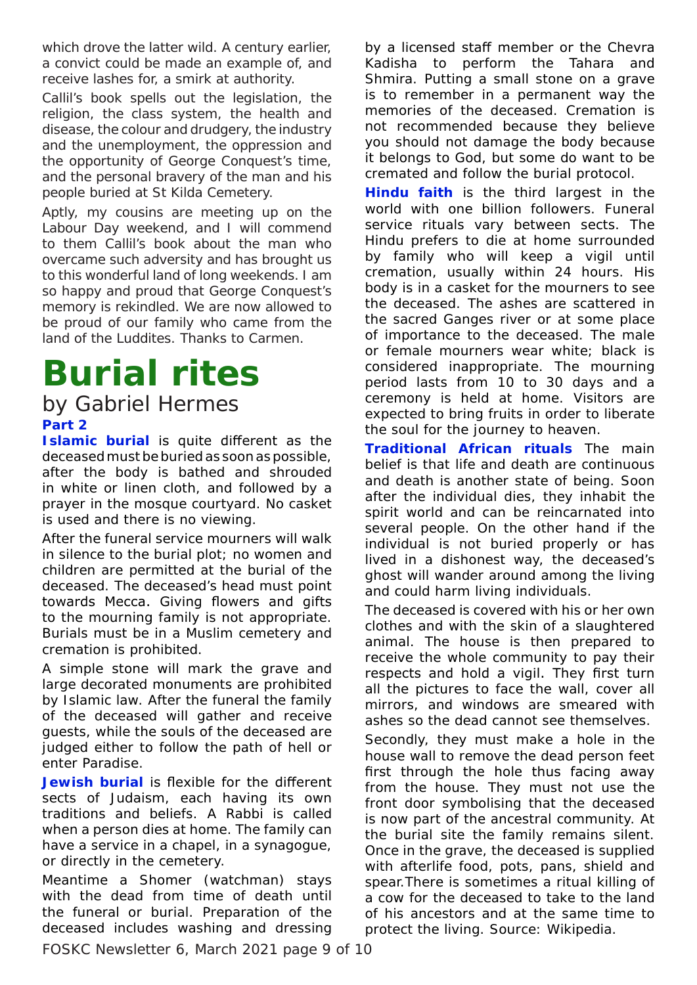which drove the latter wild. A century earlier, a convict could be made an example of, and receive lashes for, a smirk at authority.

Callil's book spells out the legislation, the religion, the class system, the health and disease, the colour and drudgery, the industry and the unemployment, the oppression and the opportunity of George Conquest's time, and the personal bravery of the man and his people buried at St Kilda Cemetery.

Aptly, my cousins are meeting up on the Labour Day weekend, and I will commend to them Callil's book about the man who overcame such adversity and has brought us to this wonderful land of long weekends. I am so happy and proud that George Conquest's memory is rekindled. We are now allowed to be proud of our family who came from the land of the Luddites. Thanks to Carmen.

# **Burial rites**

# **Part 2** by Gabriel Hermes

**Islamic burial** is quite different as the deceased must be buried as soon as possible, after the body is bathed and shrouded in white or linen cloth, and followed by a prayer in the mosque courtyard. No casket is used and there is no viewing.

After the funeral service mourners will walk in silence to the burial plot; no women and children are permitted at the burial of the deceased. The deceased's head must point towards Mecca. Giving flowers and gifts to the mourning family is not appropriate. Burials must be in a Muslim cemetery and cremation is prohibited.

A simple stone will mark the grave and large decorated monuments are prohibited by Islamic law. After the funeral the family of the deceased will gather and receive guests, while the souls of the deceased are judged either to follow the path of hell or enter Paradise.

**Jewish burial** is flexible for the different sects of Judaism, each having its own traditions and beliefs. A Rabbi is called when a person dies at home. The family can have a service in a chapel, in a synagogue, or directly in the cemetery.

Meantime a Shomer (watchman) stays with the dead from time of death until the funeral or burial. Preparation of the deceased includes washing and dressing

by a licensed staff member or the Chevra Kadisha to perform the Tahara and Shmira. Putting a small stone on a grave is to remember in a permanent way the memories of the deceased. Cremation is not recommended because they believe you should not damage the body because it belongs to God, but some do want to be cremated and follow the burial protocol.

**Hindu faith** is the third largest in the world with one billion followers. Funeral service rituals vary between sects. The Hindu prefers to die at home surrounded by family who will keep a vigil until cremation, usually within 24 hours. His body is in a casket for the mourners to see the deceased. The ashes are scattered in the sacred Ganges river or at some place of importance to the deceased. The male or female mourners wear white; black is considered inappropriate. The mourning period lasts from 10 to 30 days and a ceremony is held at home. Visitors are expected to bring fruits in order to liberate the soul for the journey to heaven.

**Traditional African rituals** The main belief is that life and death are continuous and death is another state of being. Soon after the individual dies, they inhabit the spirit world and can be reincarnated into several people. On the other hand if the individual is not buried properly or has lived in a dishonest way, the deceased's ghost will wander around among the living and could harm living individuals.

The deceased is covered with his or her own clothes and with the skin of a slaughtered animal. The house is then prepared to receive the whole community to pay their respects and hold a vigil. They first turn all the pictures to face the wall, cover all mirrors, and windows are smeared with ashes so the dead cannot see themselves.

Secondly, they must make a hole in the house wall to remove the dead person feet first through the hole thus facing away from the house. They must not use the front door symbolising that the deceased is now part of the ancestral community. At the burial site the family remains silent. Once in the grave, the deceased is supplied with afterlife food, pots, pans, shield and spear.There is sometimes a ritual killing of a cow for the deceased to take to the land of his ancestors and at the same time to protect the living. Source: Wikipedia.

FOSKC Newsletter 6, March 2021 page 9 of 10